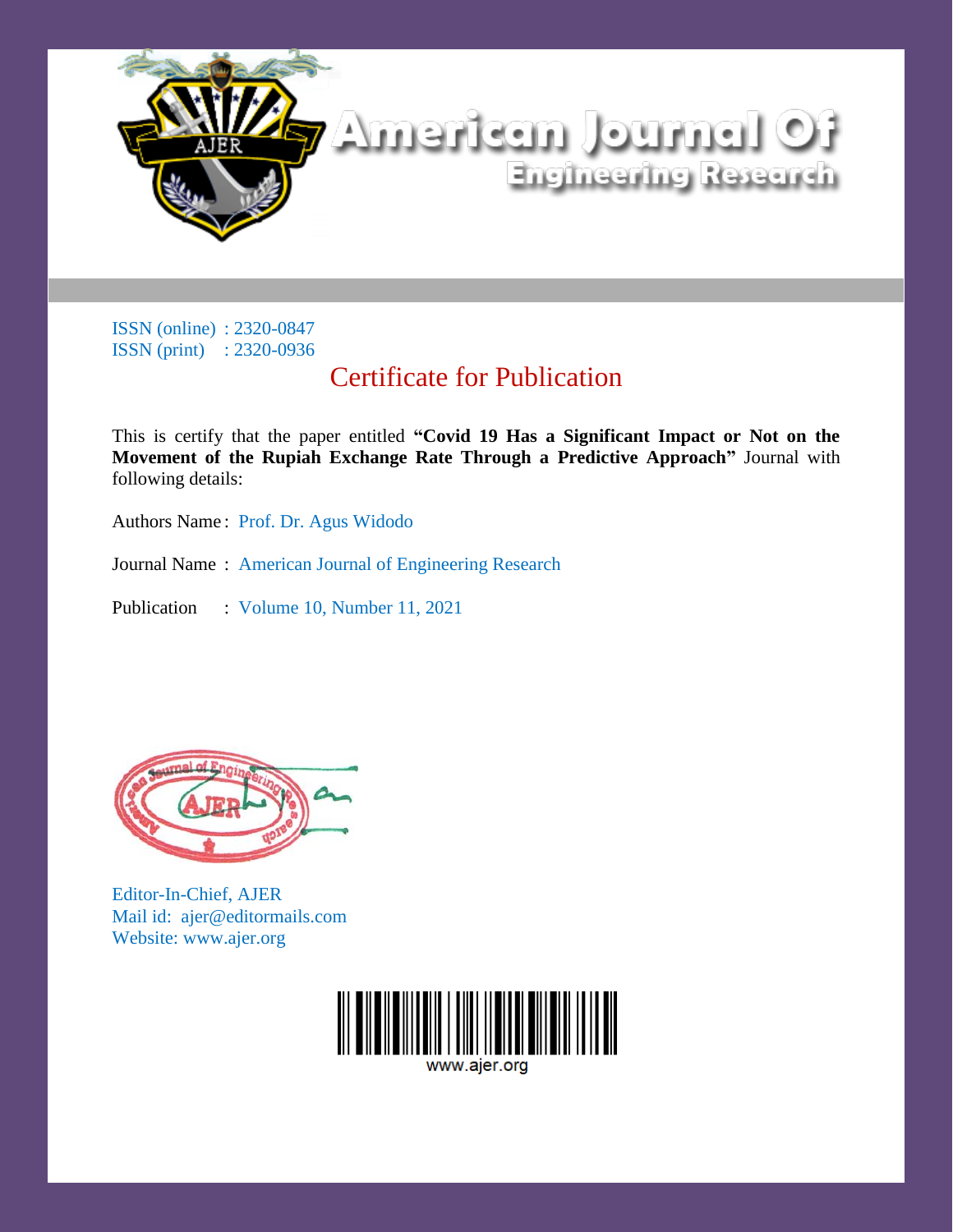

# Certificate for Publication

This is certify that the paper entitled **"Covid 19 Has a Significant Impact or Not on the Movement of the Rupiah Exchange Rate Through a Predictive Approach"** Journal with following details:

Authors Name : Prof. Dr. Agus Widodo

Journal Name : American Journal of Engineering Research

Publication : Volume 10, Number 11, 2021



Editor-In-Chief, AJER Mail id: ajer@editormails.com Website: www.ajer.org

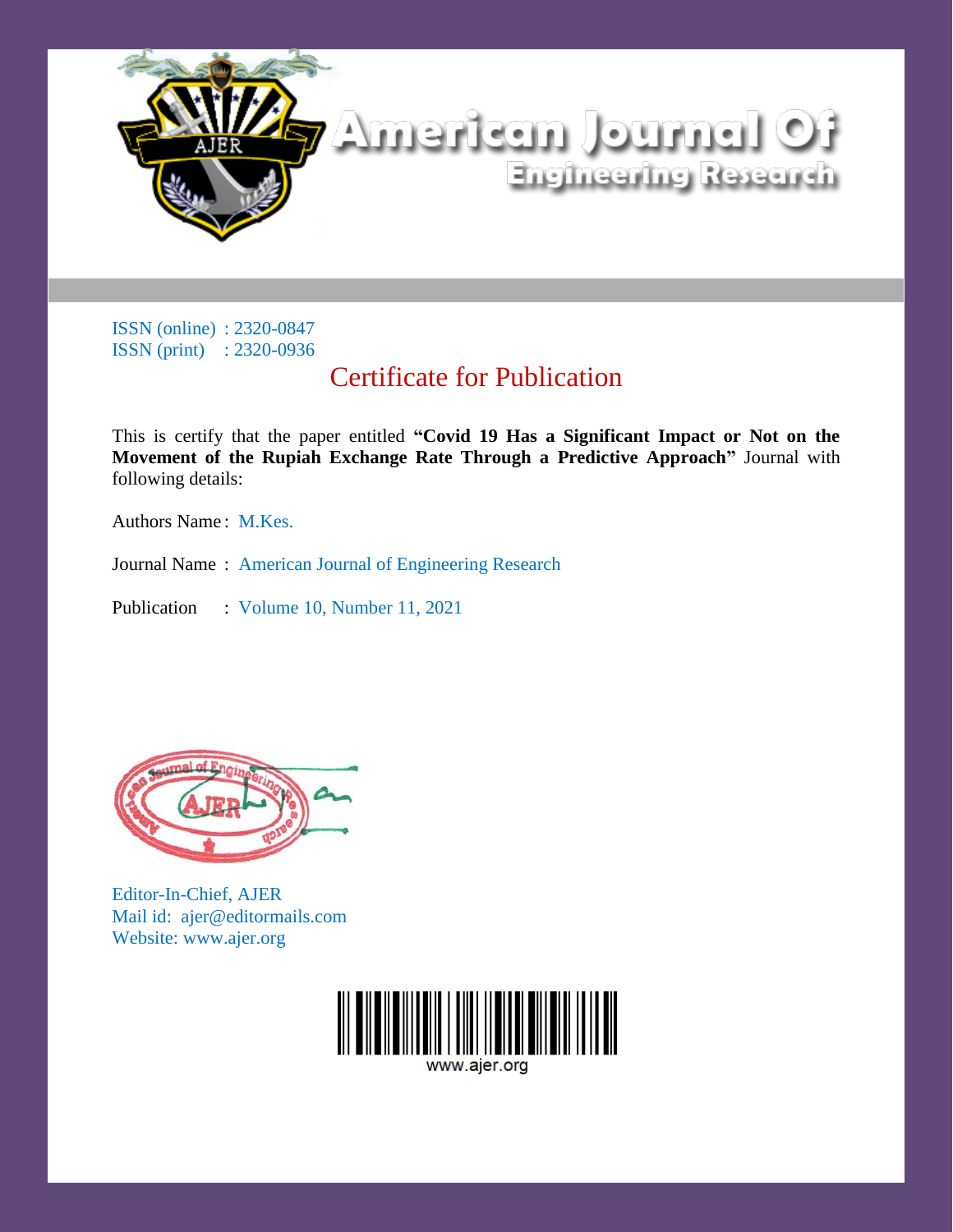

# Certificate for Publication

This is certify that the paper entitled **"Covid 19 Has a Significant Impact or Not on the Movement of the Rupiah Exchange Rate Through a Predictive Approach"** Journal with following details:

Authors Name: M.Kes.

Journal Name : American Journal of Engineering Research

Publication : Volume 10, Number 11, 2021



Editor-In-Chief, AJER Mail id: ajer@editormails.com Website: www.ajer.org

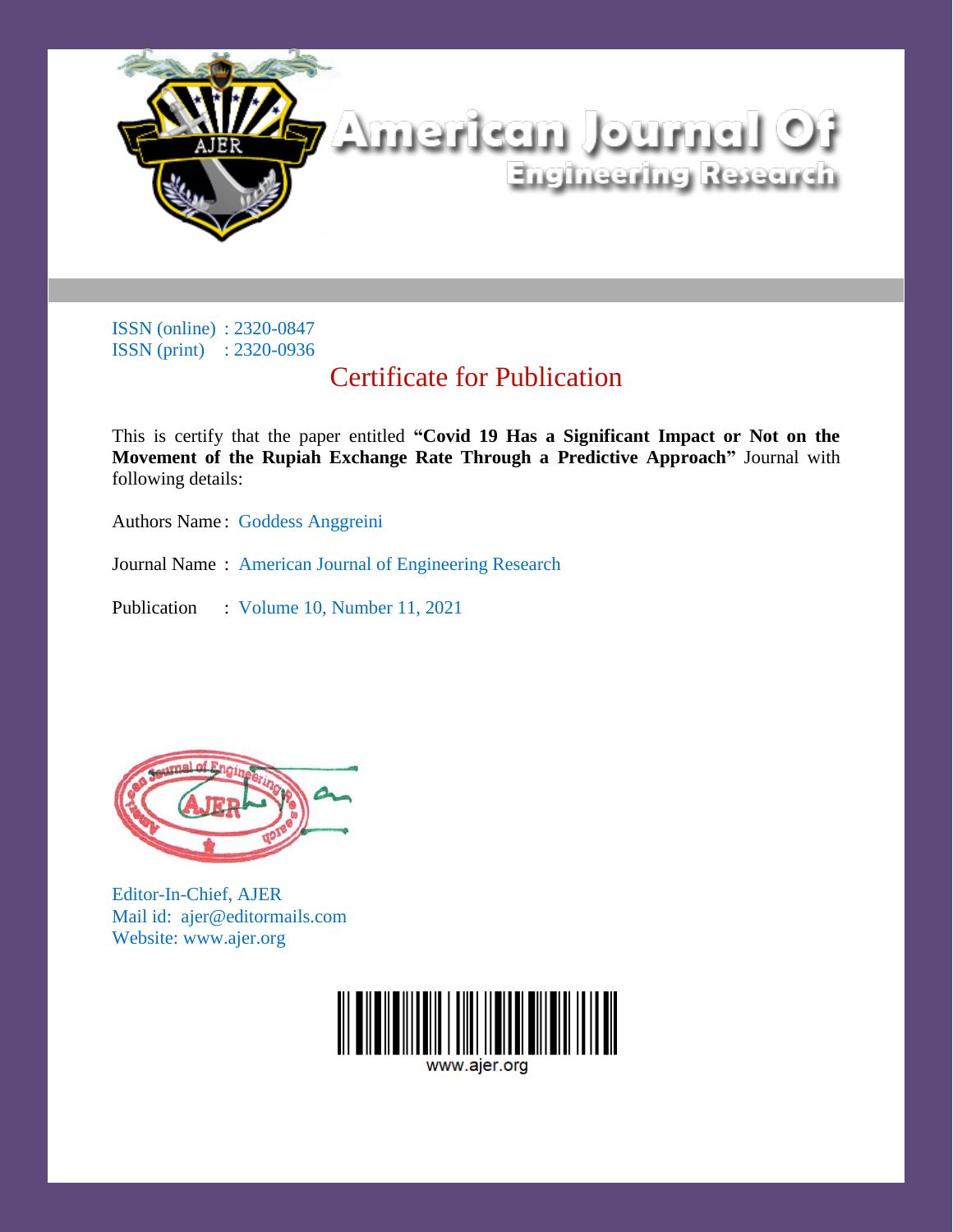

# Certificate for Publication

This is certify that the paper entitled **"Covid 19 Has a Significant Impact or Not on the Movement of the Rupiah Exchange Rate Through a Predictive Approach"** Journal with following details:

Authors Name : Goddess Anggreini

Journal Name : American Journal of Engineering Research

Publication : Volume 10, Number 11, 2021



Editor-In-Chief, AJER Mail id: ajer@editormails.com Website: www.ajer.org

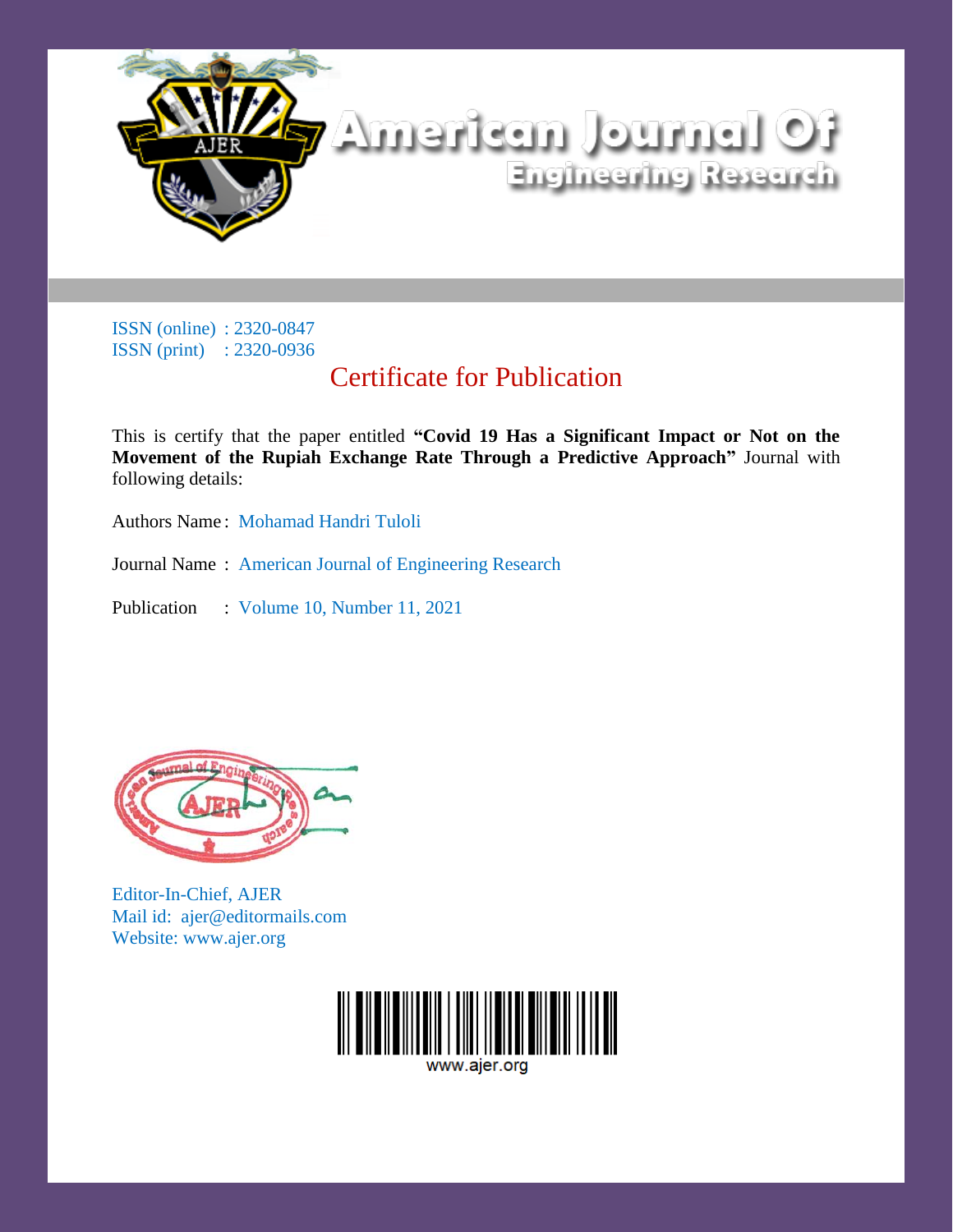

# Certificate for Publication

This is certify that the paper entitled **"Covid 19 Has a Significant Impact or Not on the Movement of the Rupiah Exchange Rate Through a Predictive Approach"** Journal with following details:

Authors Name : Mohamad Handri Tuloli

Journal Name : American Journal of Engineering Research

Publication : Volume 10, Number 11, 2021



Editor-In-Chief, AJER Mail id: ajer@editormails.com Website: www.ajer.org

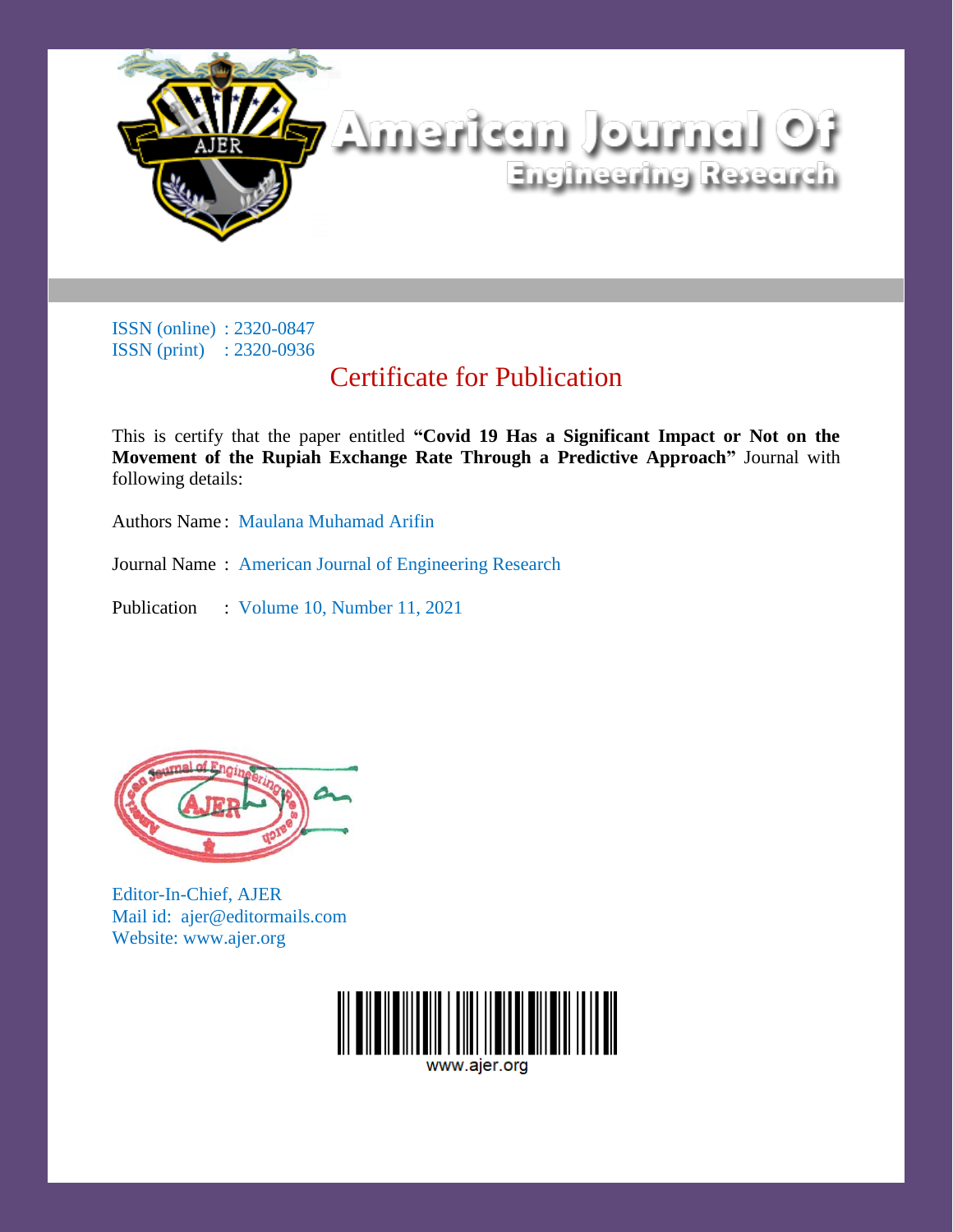

# Certificate for Publication

This is certify that the paper entitled **"Covid 19 Has a Significant Impact or Not on the Movement of the Rupiah Exchange Rate Through a Predictive Approach"** Journal with following details:

Authors Name : Maulana Muhamad Arifin

Journal Name : American Journal of Engineering Research

Publication : Volume 10, Number 11, 2021



Editor-In-Chief, AJER Mail id: ajer@editormails.com Website: www.ajer.org